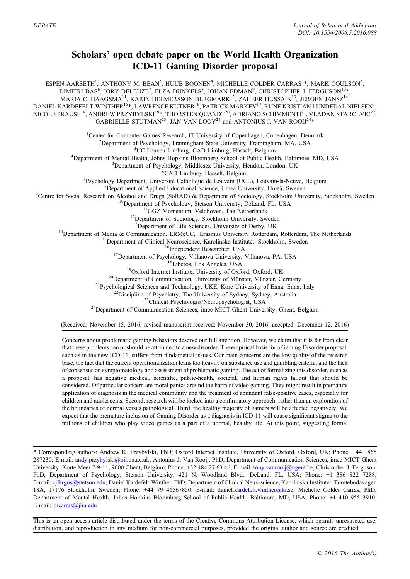## Scholars' open debate paper on the World Health Organization ICD-11 Gaming Disorder proposal

ESPEN AARSETH<sup>1</sup>, ANTHONY M. BEAN<sup>2</sup>, HUUB BOONEN<sup>3</sup>, MICHELLE COLDER CARRAS<sup>4</sup>\*, MARK COULSON<sup>5</sup>, DIMITRI DAS<sup>6</sup>, JORY DELEUZE<sup>7</sup>, ELZA DUNKELS<sup>8</sup>, JOHAN EDMAN<sup>9</sup>, CHRISTOPHER J. FERGUSON<sup>10</sup>\*, MARIA C. HAAGSMA<sup>11</sup>, KARIN HELMERSSON BERGMARK<sup>12</sup>, ZAHEER HUSSAIN<sup>13</sup>, JEROEN JANSZ<sup>14</sup>, DANIEL KARDEFELT-WINTHER $^{15}$ \*, LAWRENCE KUTNER $^{16}$ , PATRICK MARKEY $^{17}$ , RUNE KRISTIAN LUNDEDAL NIELSEN $^{1}$ , NICOLE PRAUSE<sup>18</sup>, ANDREW PRZYBYLSKI<sup>19</sup>\*, THORSTEN QUANDT<sup>20</sup>, ADRIANO SCHIMMENTI<sup>21</sup>, VLADAN STARCEVIC<sup>22</sup>, GABRIELLE STUTMAN<sup>23</sup>, JAN VAN LOOY<sup>24</sup> and ANTONIUS J. VAN ROOIJ<sup>24\*</sup> <sup>1</sup> Center for Computer Games Research, IT University of Copenhagen, Copenhagen, Denmark <sup>2</sup> Department of Psychology, Framingham State University, Framingham MA, USA <sup>2</sup>Department of Psychology, Framingham State University, Framingham, MA, USA <sup>3</sup>UC-Leuven-Limburg, CAD Limburg, Hasselt, Belgium <sup>4</sup>Department of Mental Health, Johns Hopkins Bloomberg School of Public Health, Baltimore, MD, USA  ${}^{5}$ Department of Psychology, Middlesex University, Hendon, London, UK  ${}^{6}$ CAD Limburg, Hasselt, Belgium <sup>6</sup>CAD Limburg, Hasselt, Belgium<br><sup>7</sup>Psychology Department, Université Catholique de Louvein (UC Psychology Department, Université Catholique de Louvain (UCL), Louvain-la-Neuve, Belgium<br><sup>8</sup>Department of Applied Educational Science, Umeå University, Umeå, Sweden <sup>8</sup>Department of Applied Educational Science, Umeå University, Umeå, Sweden <sup>9</sup>Centre for Social Research on Alcohol and Drugs (SoRAD) & Department of Sociology, Stockholm University, Stockholm, Sweden<br><sup>10</sup>Department of Psychology, Stetson University, DeLand, FL, USA<br><sup>11</sup>GGZ Momentum, Veldhoven, <sup>13</sup>Department of Media & Communication, ERMeCC, Erasmus University of Derby, UK<br>
<sup>14</sup>Department of Media & Communication, ERMeCC, Erasmus University Rotterdam, Rotterdam, The Netherlands<br>
<sup>15</sup>Department of Clinical Neuro (Received: November 15, 2016; revised manuscript received: November 30, 2016; accepted: December 12, 2016) Concerns about problematic gaming behaviors deserve our full attention. However, we claim that it is far from clear

that these problems can or should be attributed to a new disorder. The empirical basis for a Gaming Disorder proposal, such as in the new ICD-11, suffers from fundamental issues. Our main concerns are the low quality of the research base, the fact that the current operationalization leans too heavily on substance use and gambling criteria, and the lack of consensus on symptomatology and assessment of problematic gaming. The act of formalizing this disorder, even as a proposal, has negative medical, scientific, public-health, societal, and human rights fallout that should be considered. Of particular concern are moral panics around the harm of video gaming. They might result in premature application of diagnosis in the medical community and the treatment of abundant false-positive cases, especially for children and adolescents. Second, research will be locked into a confirmatory approach, rather than an exploration of the boundaries of normal versus pathological. Third, the healthy majority of gamers will be affected negatively. We expect that the premature inclusion of Gaming Disorder as a diagnosis in ICD-11 will cause significant stigma to the millions of children who play video games as a part of a normal, healthy life. At this point, suggesting formal

\* Corresponding authors: Andrew K. Przybylski, PhD; Oxford Internet Institute, University of Oxford, Oxford, UK; Phone: +44 1865 287230; E-mail: [andy.przybylski@oii.ox.ac.uk;](mailto:andy.przybylski@oii.ox.ac.uk) Antonius J. Van Rooij, PhD; Department of Communication Sciences, imec-MICT-Ghent<br>287230; E-mail: andy.przybylski@oii.ox.ac.uk; Antonius J. Van Rooij, PhD; Department of Commun \* Corresponding authors: Andrew K. Przybylski, PhD; Oxford Internet Institute, University of Oxford, Oxford, UK; Phone: +44 1865<br>287230; E‑mail: andy.przybylski@oii.ox.ac.uk; Antonius J. Van Rooij, PhD; Department of Commu University, Kore Meer 7-9-11, 9000 Gilent, Bergium; Phone: +52 484 27 63 46; E-mail: tony.vanroofgagent.be; Christopher J. Ferguson,<br>PhD; Department of Psychology, Stetson University, 421 N. Woodland Blvd., DeLand, FL, USA 287230; E-mail: andy.przybylski@oii.ox.ac.uk; Antonius J. Van Rooij, PhD; Department of Communication Sciences, imec-MICT-Ghent University, Korte Meer 7-9-11, 9000 Ghent, Belgium; Phone: +32 484 27 63 46; E-mail: tony.vanr Department of Mental Health, Johns Hopkins Bloomberg School of Public Health, Baltimore, MD, USA; Phone: +1 410 955 3910; 18A, 17176 Stockholm, Sweden; Phone: +44 79 46567850; E-mail: daniel.kardefelt.winther@ki.se; Michelle Colder Carras, PhD; Department of Mental Health, Johns Hopkins Bloomberg School of Public Health, Baltimore, MD, USA; P

This is an open-access article distributed under the terms of the Creative Commons Attribution License, which permits unrestricted use, distribution, and reproduction in any medium for non-commercial purposes, provided the original author and source are credited.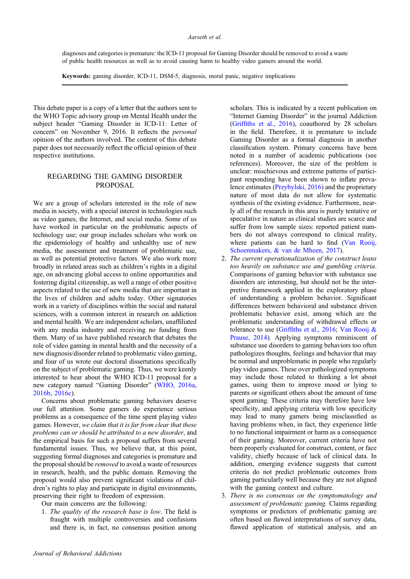diagnoses and categories is premature: the ICD-11 proposal for Gaming Disorder should be removed to avoid a waste of public health resources as well as to avoid causing harm to healthy video gamers around the world.

Keywords: gaming disorder, ICD-11, DSM-5, diagnosis, moral panic, negative implications

This debate paper is a copy of a letter that the authors sent to the WHO Topic advisory group on Mental Health under the subject header "Gaming Disorder in ICD-11: Letter of concern" on November 9, 2016. It reflects the *personal* opinion of the authors involved. The content of this debate paper does not necessarily reflect the official opinion of their respective institutions.

## REGARDING THE GAMING DISORDER PROPOSAL

We are a group of scholars interested in the role of new media in society, with a special interest in technologies such as video games, the Internet, and social media. Some of us have worked in particular on the problematic aspects of technology use; our group includes scholars who work on the epidemiology of healthy and unhealthy use of new media, the assessment and treatment of problematic use, as well as potential protective factors. We also work more broadly in related areas such as children's rights in a digital age, on advancing global access to online opportunities and fostering digital citizenship, as well a range of other positive aspects related to the use of new media that are important in the lives of children and adults today. Other signatories work in a variety of disciplines within the social and natural sciences, with a common interest in research on addiction and mental health. We are independent scholars, unaffiliated with any media industry and receiving no funding from them. Many of us have published research that debates the role of video gaming in mental health and the necessity of a new diagnosis/disorder related to problematic video gaming, and four of us wrote our doctoral dissertations specifically on the subject of problematic gaming. Thus, we were keenly interested to hear about the WHO ICD-11 proposal for a new category named "Gaming Disorder" ([WHO, 2016a](#page-3-0), [2016b](#page-3-0), [2016c\)](#page-3-0).

Concerns about problematic gaming behaviors deserve our full attention. Some gamers do experience serious problems as a consequence of the time spent playing video games. However, we claim that it is far from clear that these problems can or should be attributed to a new disorder, and the empirical basis for such a proposal suffers from several fundamental issues. Thus, we believe that, at this point, suggesting formal diagnoses and categories is premature and the proposal should be removed to avoid a waste of resources in research, health, and the public domain. Removing the proposal would also prevent significant violations of children's rights to play and participate in digital environments, preserving their right to freedom of expression.

Our main concerns are the following:

1. The quality of the research base is low. The field is fraught with multiple controversies and confusions and there is, in fact, no consensus position among scholars. This is indicated by a recent publication on "Internet Gaming Disorder" in the journal Addiction (Griffi[ths et al., 2016\)](#page-2-0), coauthored by 28 scholars in the field. Therefore, it is premature to include Gaming Disorder as a formal diagnosis in another classification system. Primary concerns have been noted in a number of academic publications (see references). Moreover, the size of the problem is unclear: mischievous and extreme patterns of participant responding have been shown to inflate prevalence estimates [\(Przybylski, 2016\)](#page-3-0) and the proprietary nature of most data do not allow for systematic synthesis of the existing evidence. Furthermore, nearly all of the research in this area is purely tentative or speculative in nature as clinical studies are scarce and suffer from low sample sizes: reported patient numbers do not always correspond to clinical reality, where patients can be hard to find ([Van Rooij,](#page-3-0) [Schoenmakers, & van de Mheen, 2017\)](#page-3-0).

- 2. The current operationalization of the construct leans too heavily on substance use and gambling criteria. Comparisons of gaming behavior with substance use disorders are interesting, but should not be the interpretive framework applied in the exploratory phase of understanding a problem behavior. Significant differences between behavioral and substance driven problematic behavior exist, among which are the problematic understanding of withdrawal effects or tolerance to use (Griffi[ths et al., 2016;](#page-2-0) [Van Rooij &](#page-3-0) [Prause, 2014](#page-3-0)). Applying symptoms reminiscent of substance use disorders to gaming behaviors too often pathologizes thoughts, feelings and behavior that may be normal and unproblematic in people who regularly play video games. These over pathologized symptoms may include those related to thinking a lot about games, using them to improve mood or lying to parents or significant others about the amount of time spent gaming. These criteria may therefore have low specificity, and applying criteria with low specificity may lead to many gamers being misclassified as having problems when, in fact, they experience little to no functional impairment or harm as a consequence of their gaming. Moreover, current criteria have not been properly evaluated for construct, content, or face validity, chiefly because of lack of clinical data. In addition, emerging evidence suggests that current criteria do not predict problematic outcomes from gaming particularly well because they are not aligned with the gaming context and culture.
- 3. There is no consensus on the symptomatology and assessment of problematic gaming. Claims regarding symptoms or predictors of problematic gaming are often based on flawed interpretations of survey data, flawed application of statistical analysis, and an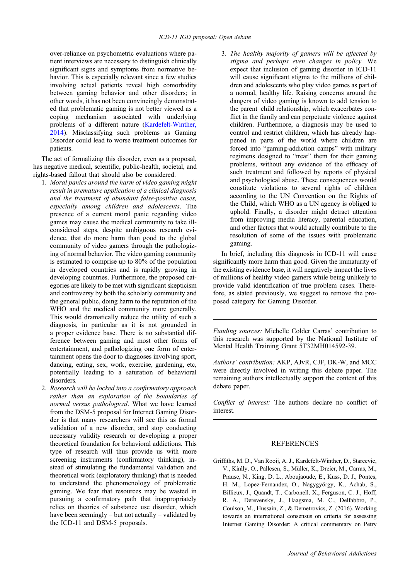<span id="page-2-0"></span>over-reliance on psychometric evaluations where patient interviews are necessary to distinguish clinically significant signs and symptoms from normative behavior. This is especially relevant since a few studies involving actual patients reveal high comorbidity between gaming behavior and other disorders; in other words, it has not been convincingly demonstrated that problematic gaming is not better viewed as a coping mechanism associated with underlying problems of a different nature [\(Kardefelt-Winther,](#page-3-0) [2014\)](#page-3-0). Misclassifying such problems as Gaming Disorder could lead to worse treatment outcomes for patients.

The act of formalizing this disorder, even as a proposal, has negative medical, scientific, public-health, societal, and rights-based fallout that should also be considered.

- 1. Moral panics around the harm of video gaming might result in premature application of a clinical diagnosis and the treatment of abundant false-positive cases, especially among children and adolescents. The presence of a current moral panic regarding video games may cause the medical community to take illconsidered steps, despite ambiguous research evidence, that do more harm than good to the global community of video gamers through the pathologizing of normal behavior. The video gaming community is estimated to comprise up to 80% of the population in developed countries and is rapidly growing in developing countries. Furthermore, the proposed categories are likely to be met with significant skepticism and controversy by both the scholarly community and the general public, doing harm to the reputation of the WHO and the medical community more generally. This would dramatically reduce the utility of such a diagnosis, in particular as it is not grounded in a proper evidence base. There is no substantial difference between gaming and most other forms of entertainment, and pathologizing one form of entertainment opens the door to diagnoses involving sport, dancing, eating, sex, work, exercise, gardening, etc, potentially leading to a saturation of behavioral disorders.
- 2. Research will be locked into a confirmatory approach rather than an exploration of the boundaries of normal versus pathological. What we have learned from the DSM-5 proposal for Internet Gaming Disorder is that many researchers will see this as formal validation of a new disorder, and stop conducting necessary validity research or developing a proper theoretical foundation for behavioral addictions. This type of research will thus provide us with more screening instruments (confirmatory thinking), instead of stimulating the fundamental validation and theoretical work (exploratory thinking) that is needed to understand the phenomenology of problematic gaming. We fear that resources may be wasted in pursuing a confirmatory path that inappropriately relies on theories of substance use disorder, which have been seemingly – but not actually – validated by the ICD-11 and DSM-5 proposals.

3. The healthy majority of gamers will be affected by stigma and perhaps even changes in policy. We expect that inclusion of gaming disorder in ICD-11 will cause significant stigma to the millions of children and adolescents who play video games as part of a normal, healthy life. Raising concerns around the dangers of video gaming is known to add tension to the parent–child relationship, which exacerbates conflict in the family and can perpetuate violence against children. Furthermore, a diagnosis may be used to control and restrict children, which has already happened in parts of the world where children are forced into "gaming-addiction camps" with military regimens designed to "treat" them for their gaming problems, without any evidence of the efficacy of such treatment and followed by reports of physical and psychological abuse. These consequences would constitute violations to several rights of children according to the UN Convention on the Rights of the Child, which WHO as a UN agency is obliged to uphold. Finally, a disorder might detract attention from improving media literacy, parental education, and other factors that would actually contribute to the resolution of some of the issues with problematic gaming.

In brief, including this diagnosis in ICD-11 will cause significantly more harm than good. Given the immaturity of the existing evidence base, it will negatively impact the lives of millions of healthy video gamers while being unlikely to provide valid identification of true problem cases. Therefore, as stated previously, we suggest to remove the proposed category for Gaming Disorder.

Funding sources: Michelle Colder Carras' contribution to this research was supported by the National Institute of Mental Health Training Grant 5T32MH014592-39.

Authors' contribution: AKP, AJvR, CJF, DK-W, and MCC were directly involved in writing this debate paper. The remaining authors intellectually support the content of this debate paper.

Conflict of interest: The authors declare no conflict of interest.

## REFERENCES

Griffiths, M. D., Van Rooij, A. J., Kardefelt-Winther, D., Starcevic, V., Király, O., Pallesen, S., Müller, K., Dreier, M., Carras, M., Prause, N., King, D. L., Aboujaoude, E., Kuss, D. J., Pontes, H. M., Lopez-Fernandez, O., Nagygyörgy, K., Achab, S., Billieux, J., Quandt, T., Carbonell, X., Ferguson, C. J., Hoff, R. A., Derevensky, J., Haagsma, M. C., Delfabbro, P., Coulson, M., Hussain, Z., & Demetrovics, Z. (2016). Working towards an international consensus on criteria for assessing Internet Gaming Disorder: A critical commentary on Petry